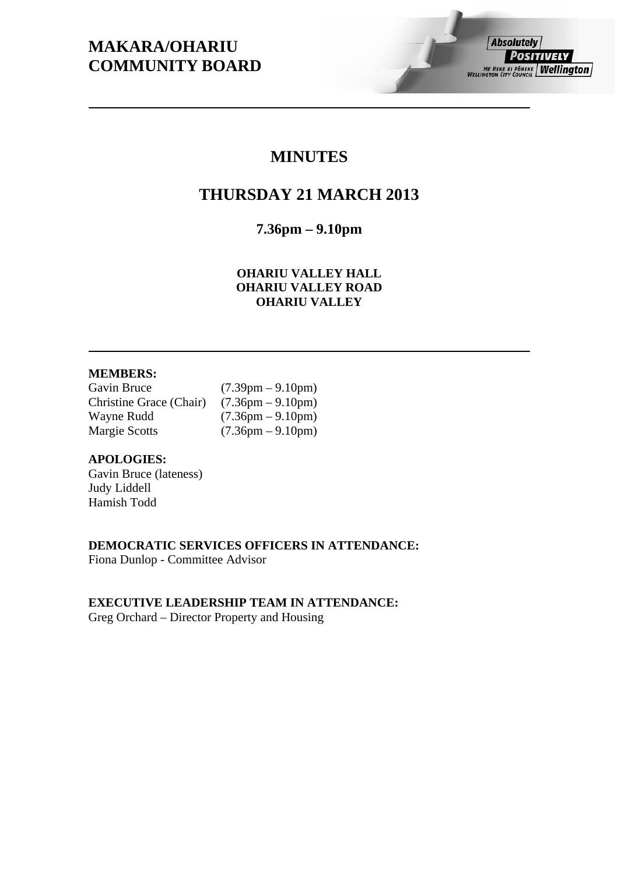# **MAKARA/OHARIU COMMUNITY BOARD**

## **MINUTES**

# **THURSDAY 21 MARCH 2013**

**7.36pm – 9.10pm** 

**OHARIU VALLEY HALL OHARIU VALLEY ROAD OHARIU VALLEY** 

## **MEMBERS:**

| Gavin Bruce             | $(7.39 \text{pm} - 9.10 \text{pm})$ |
|-------------------------|-------------------------------------|
| Christine Grace (Chair) | $(7.36 \text{pm} - 9.10 \text{pm})$ |
| Wayne Rudd              | $(7.36 \text{pm} - 9.10 \text{pm})$ |
| <b>Margie Scotts</b>    | $(7.36 \text{pm} - 9.10 \text{pm})$ |

## **APOLOGIES:**

Gavin Bruce (lateness) Judy Liddell Hamish Todd

## **DEMOCRATIC SERVICES OFFICERS IN ATTENDANCE:**

Fiona Dunlop - Committee Advisor

## **EXECUTIVE LEADERSHIP TEAM IN ATTENDANCE:**

Greg Orchard – Director Property and Housing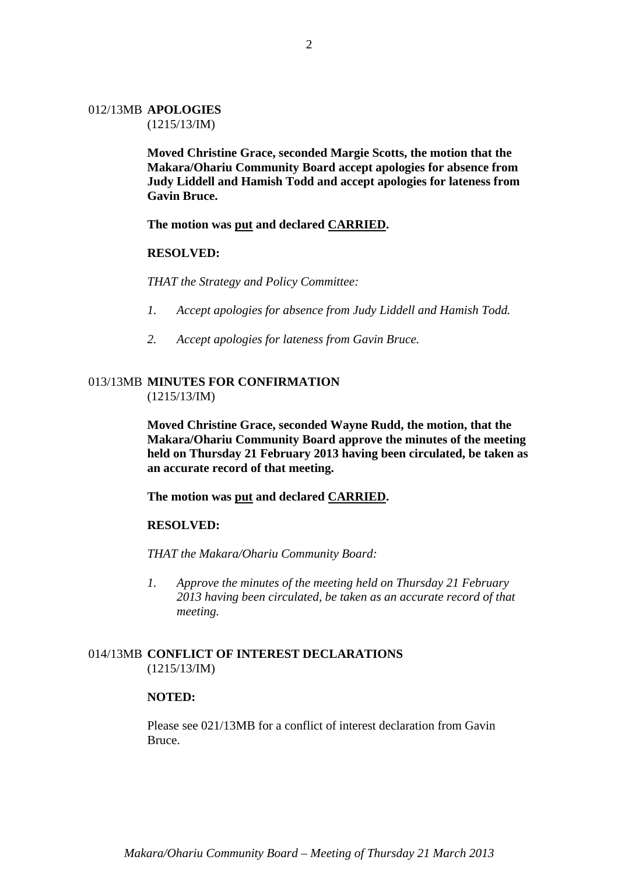## 012/13MB **APOLOGIES**

(1215/13/IM)

**Moved Christine Grace, seconded Margie Scotts, the motion that the Makara/Ohariu Community Board accept apologies for absence from Judy Liddell and Hamish Todd and accept apologies for lateness from Gavin Bruce.** 

**The motion was put and declared CARRIED.** 

#### **RESOLVED:**

*THAT the Strategy and Policy Committee:* 

- *1. Accept apologies for absence from Judy Liddell and Hamish Todd.*
- *2. Accept apologies for lateness from Gavin Bruce.*

## 013/13MB **MINUTES FOR CONFIRMATION** (1215/13/IM)

**Moved Christine Grace, seconded Wayne Rudd, the motion, that the Makara/Ohariu Community Board approve the minutes of the meeting held on Thursday 21 February 2013 having been circulated, be taken as an accurate record of that meeting.** 

## **The motion was put and declared CARRIED.**

#### **RESOLVED:**

*THAT the Makara/Ohariu Community Board:* 

*1. Approve the minutes of the meeting held on Thursday 21 February 2013 having been circulated, be taken as an accurate record of that meeting.* 

## 014/13MB **CONFLICT OF INTEREST DECLARATIONS**  (1215/13/IM)

#### **NOTED:**

Please see 021/13MB for a conflict of interest declaration from Gavin Bruce.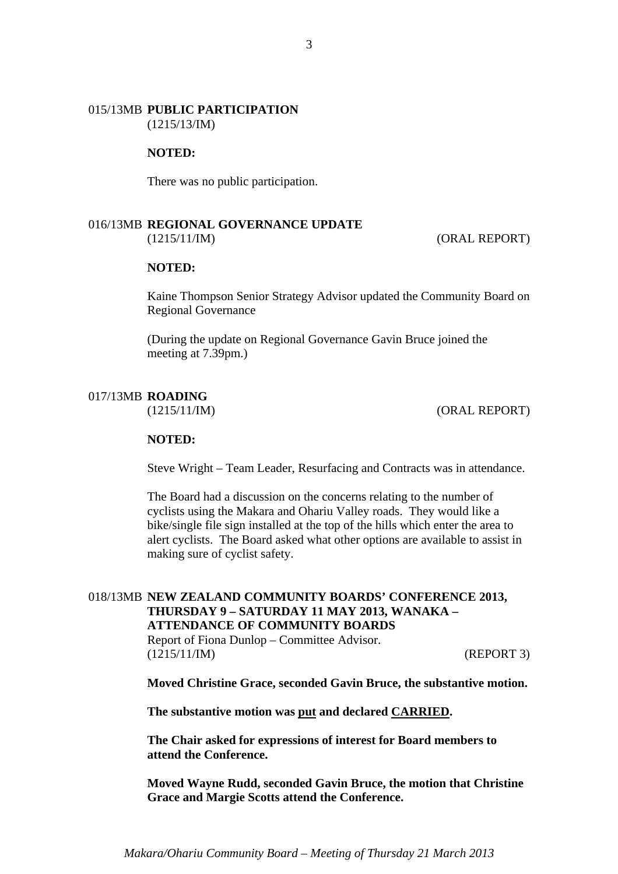#### 015/13MB **PUBLIC PARTICIPATION** (1215/13/IM)

#### **NOTED:**

There was no public participation.

#### 016/13MB **REGIONAL GOVERNANCE UPDATE** (1215/11/IM) (ORAL REPORT)

#### **NOTED:**

Kaine Thompson Senior Strategy Advisor updated the Community Board on Regional Governance

(During the update on Regional Governance Gavin Bruce joined the meeting at 7.39pm.)

#### 017/13MB **ROADING**

(1215/11/IM) (ORAL REPORT)

#### **NOTED:**

Steve Wright – Team Leader, Resurfacing and Contracts was in attendance.

The Board had a discussion on the concerns relating to the number of cyclists using the Makara and Ohariu Valley roads. They would like a bike/single file sign installed at the top of the hills which enter the area to alert cyclists. The Board asked what other options are available to assist in making sure of cyclist safety.

#### 018/13MB **NEW ZEALAND COMMUNITY BOARDS' CONFERENCE 2013, THURSDAY 9 – SATURDAY 11 MAY 2013, WANAKA – ATTENDANCE OF COMMUNITY BOARDS**

Report of Fiona Dunlop – Committee Advisor. (1215/11/IM) (REPORT 3)

**Moved Christine Grace, seconded Gavin Bruce, the substantive motion.** 

**The substantive motion was put and declared CARRIED.** 

**The Chair asked for expressions of interest for Board members to attend the Conference.** 

**Moved Wayne Rudd, seconded Gavin Bruce, the motion that Christine Grace and Margie Scotts attend the Conference.**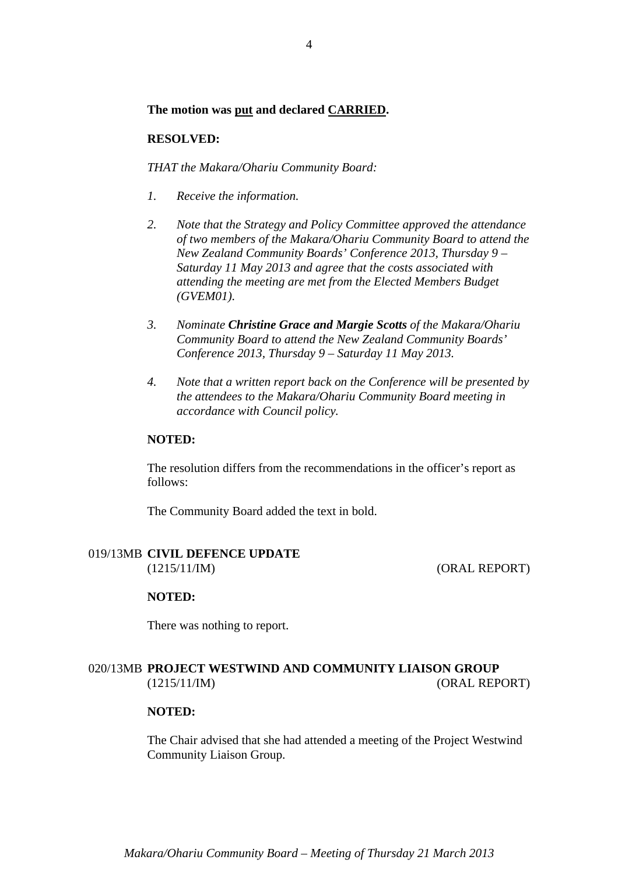## **The motion was put and declared CARRIED.**

#### **RESOLVED:**

*THAT the Makara/Ohariu Community Board:* 

- *1. Receive the information.*
- *2. Note that the Strategy and Policy Committee approved the attendance of two members of the Makara/Ohariu Community Board to attend the New Zealand Community Boards' Conference 2013, Thursday 9 – Saturday 11 May 2013 and agree that the costs associated with attending the meeting are met from the Elected Members Budget (GVEM01).*
- *3. Nominate Christine Grace and Margie Scotts of the Makara/Ohariu Community Board to attend the New Zealand Community Boards' Conference 2013, Thursday 9 – Saturday 11 May 2013.*
- *4. Note that a written report back on the Conference will be presented by the attendees to the Makara/Ohariu Community Board meeting in accordance with Council policy.*

#### **NOTED:**

The resolution differs from the recommendations in the officer's report as follows:

The Community Board added the text in bold.

#### 019/13MB **CIVIL DEFENCE UPDATE** (1215/11/IM) (ORAL REPORT)

#### **NOTED:**

There was nothing to report.

## 020/13MB **PROJECT WESTWIND AND COMMUNITY LIAISON GROUP** (1215/11/IM) (ORAL REPORT)

## **NOTED:**

The Chair advised that she had attended a meeting of the Project Westwind Community Liaison Group.

4

*Makara/Ohariu Community Board – Meeting of Thursday 21 March 2013*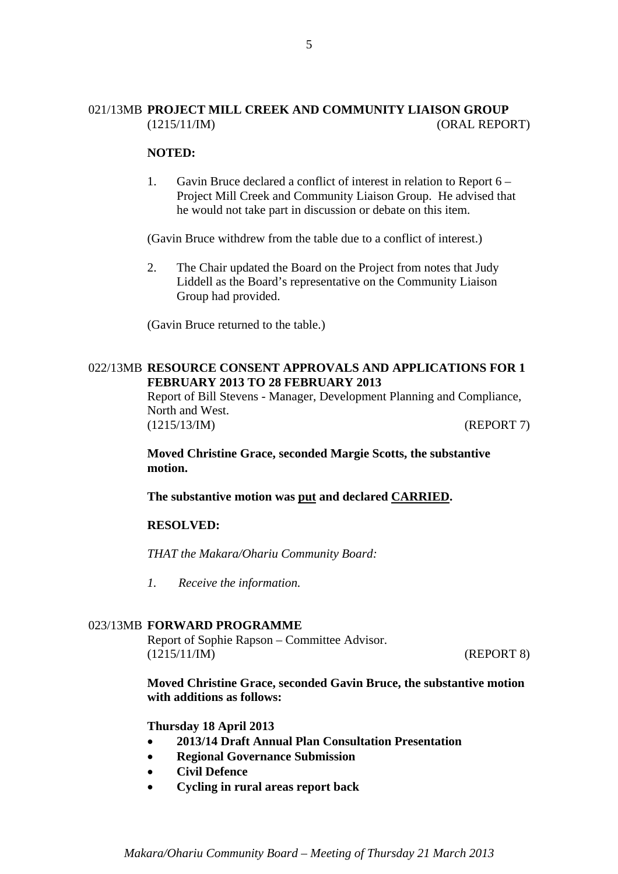## 021/13MB **PROJECT MILL CREEK AND COMMUNITY LIAISON GROUP** (1215/11/IM) (ORAL REPORT)

#### **NOTED:**

1. Gavin Bruce declared a conflict of interest in relation to Report 6 – Project Mill Creek and Community Liaison Group. He advised that he would not take part in discussion or debate on this item.

(Gavin Bruce withdrew from the table due to a conflict of interest.)

2. The Chair updated the Board on the Project from notes that Judy Liddell as the Board's representative on the Community Liaison Group had provided.

(Gavin Bruce returned to the table.)

#### 022/13MB **RESOURCE CONSENT APPROVALS AND APPLICATIONS FOR 1 FEBRUARY 2013 TO 28 FEBRUARY 2013**

Report of Bill Stevens - Manager, Development Planning and Compliance, North and West. (1215/13/IM) (REPORT 7)

**Moved Christine Grace, seconded Margie Scotts, the substantive motion.** 

**The substantive motion was put and declared CARRIED.** 

#### **RESOLVED:**

*THAT the Makara/Ohariu Community Board:* 

*1. Receive the information.* 

#### 023/13MB **FORWARD PROGRAMME**

Report of Sophie Rapson – Committee Advisor. (1215/11/IM) (REPORT 8)

**Moved Christine Grace, seconded Gavin Bruce, the substantive motion with additions as follows:** 

#### **Thursday 18 April 2013**

- **2013/14 Draft Annual Plan Consultation Presentation**
- **Regional Governance Submission**
- **Civil Defence**
- **Cycling in rural areas report back**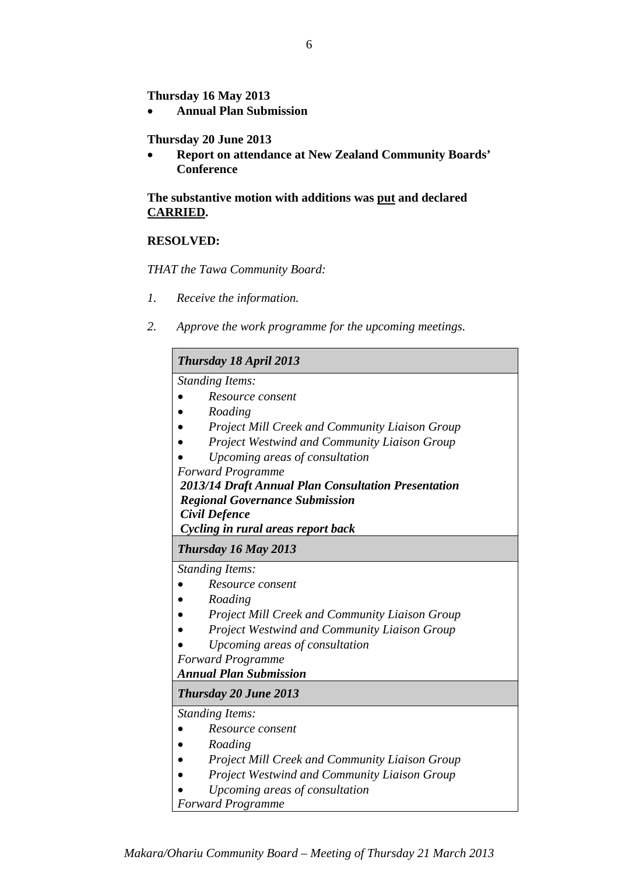**Thursday 16 May 2013** 

**Annual Plan Submission** 

## **Thursday 20 June 2013**

 **Report on attendance at New Zealand Community Boards' Conference** 

**The substantive motion with additions was put and declared CARRIED.** 

## **RESOLVED:**

*THAT the Tawa Community Board:* 

- *1. Receive the information.*
- *2. Approve the work programme for the upcoming meetings.*

| <b>Thursday 18 April 2013</b>                         |  |
|-------------------------------------------------------|--|
| <b>Standing Items:</b>                                |  |
| Resource consent                                      |  |
| Roading                                               |  |
| <b>Project Mill Creek and Community Liaison Group</b> |  |
| <b>Project Westwind and Community Liaison Group</b>   |  |
| Upcoming areas of consultation                        |  |
| <b>Forward Programme</b>                              |  |
| 2013/14 Draft Annual Plan Consultation Presentation   |  |
| <b>Regional Governance Submission</b>                 |  |
| <b>Civil Defence</b>                                  |  |
| Cycling in rural areas report back                    |  |
| Thursday 16 May 2013                                  |  |
| <b>Standing Items:</b>                                |  |
| Resource consent                                      |  |
| Roading                                               |  |
| <b>Project Mill Creek and Community Liaison Group</b> |  |
| Project Westwind and Community Liaison Group          |  |
| Upcoming areas of consultation                        |  |
| <b>Forward Programme</b>                              |  |
| <b>Annual Plan Submission</b>                         |  |
| <b>Thursday 20 June 2013</b>                          |  |
| <b>Standing Items:</b>                                |  |
| Resource consent                                      |  |
| Roading                                               |  |
| <b>Project Mill Creek and Community Liaison Group</b> |  |
| <b>Project Westwind and Community Liaison Group</b>   |  |

- *Upcoming areas of consultation*
- *Forward Programme*